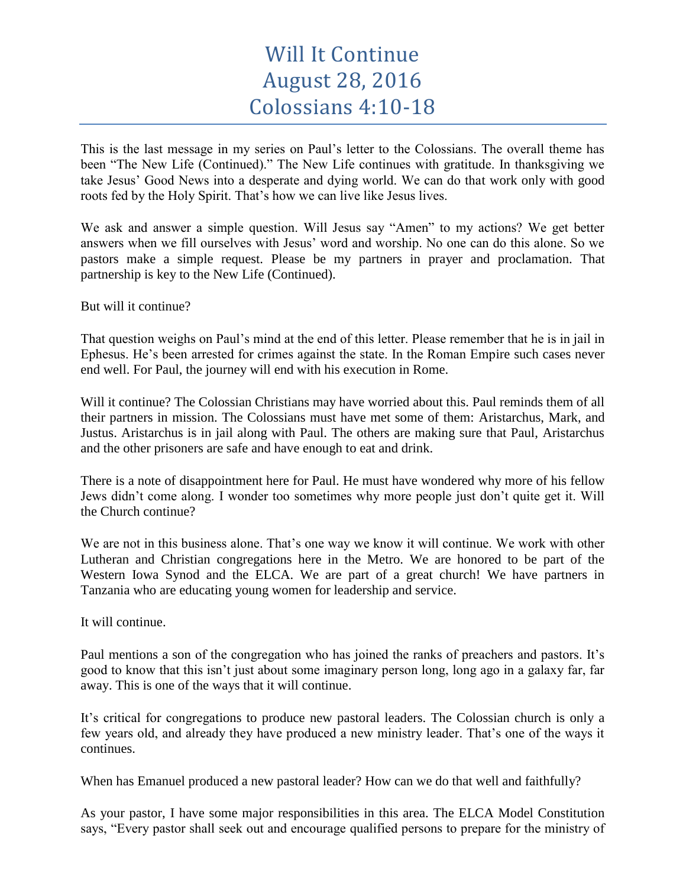## Will It Continue August 28, 2016 Colossians 4:10-18

This is the last message in my series on Paul's letter to the Colossians. The overall theme has been "The New Life (Continued)." The New Life continues with gratitude. In thanksgiving we take Jesus' Good News into a desperate and dying world. We can do that work only with good roots fed by the Holy Spirit. That's how we can live like Jesus lives.

We ask and answer a simple question. Will Jesus say "Amen" to my actions? We get better answers when we fill ourselves with Jesus' word and worship. No one can do this alone. So we pastors make a simple request. Please be my partners in prayer and proclamation. That partnership is key to the New Life (Continued).

But will it continue?

That question weighs on Paul's mind at the end of this letter. Please remember that he is in jail in Ephesus. He's been arrested for crimes against the state. In the Roman Empire such cases never end well. For Paul, the journey will end with his execution in Rome.

Will it continue? The Colossian Christians may have worried about this. Paul reminds them of all their partners in mission. The Colossians must have met some of them: Aristarchus, Mark, and Justus. Aristarchus is in jail along with Paul. The others are making sure that Paul, Aristarchus and the other prisoners are safe and have enough to eat and drink.

There is a note of disappointment here for Paul. He must have wondered why more of his fellow Jews didn't come along. I wonder too sometimes why more people just don't quite get it. Will the Church continue?

We are not in this business alone. That's one way we know it will continue. We work with other Lutheran and Christian congregations here in the Metro. We are honored to be part of the Western Iowa Synod and the ELCA. We are part of a great church! We have partners in Tanzania who are educating young women for leadership and service.

It will continue.

Paul mentions a son of the congregation who has joined the ranks of preachers and pastors. It's good to know that this isn't just about some imaginary person long, long ago in a galaxy far, far away. This is one of the ways that it will continue.

It's critical for congregations to produce new pastoral leaders. The Colossian church is only a few years old, and already they have produced a new ministry leader. That's one of the ways it continues.

When has Emanuel produced a new pastoral leader? How can we do that well and faithfully?

As your pastor, I have some major responsibilities in this area. The ELCA Model Constitution says, "Every pastor shall seek out and encourage qualified persons to prepare for the ministry of